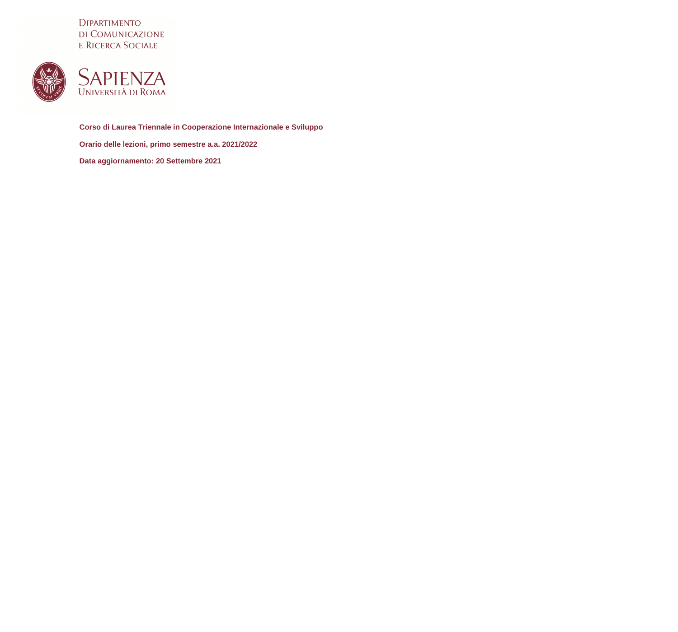DIPARTIMENTO DI COMUNICAZIONE E RICERCA SOCIALE





**Corso di Laurea Triennale in Cooperazione Internazionale e Sviluppo Orario delle lezioni, primo semestre a.a. 2021/2022 Data aggiornamento: 20 Settembre 2021**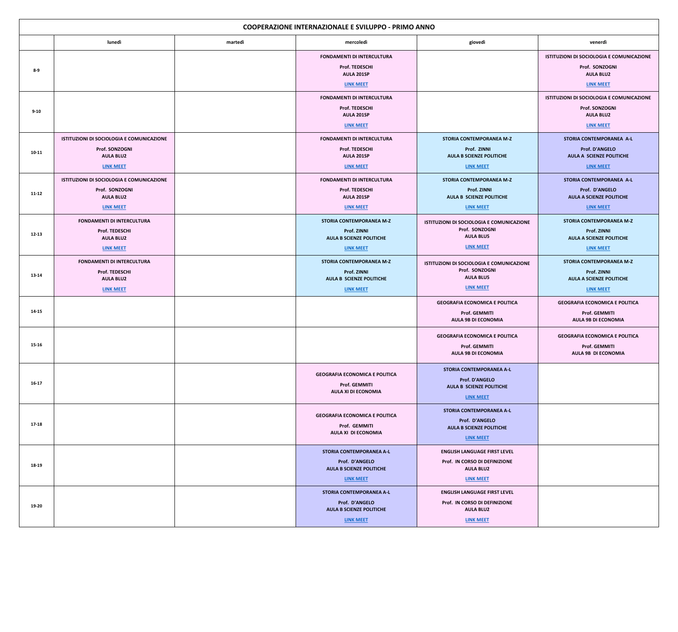| <b>COOPERAZIONE INTERNAZIONALE E SVILUPPO - PRIMO ANNO</b> |                                           |         |                                                     |                                                          |                                                               |  |  |
|------------------------------------------------------------|-------------------------------------------|---------|-----------------------------------------------------|----------------------------------------------------------|---------------------------------------------------------------|--|--|
|                                                            | lunedì                                    | martedì | mercoledì                                           | giovedì                                                  | venerdì                                                       |  |  |
|                                                            |                                           |         | <b>FONDAMENTI DI INTERCULTURA</b>                   |                                                          | ISTITUZIONI DI SOCIOLOGIA E COMUNICAZIONE                     |  |  |
| $8-9$                                                      |                                           |         | Prof. TEDESCHI<br>AULA 201SP                        |                                                          | Prof. SONZOGNI<br><b>AULA BLU2</b>                            |  |  |
|                                                            |                                           |         | <b>LINK MEET</b>                                    |                                                          | <b>LINK MEET</b>                                              |  |  |
|                                                            |                                           |         | <b>FONDAMENTI DI INTERCULTURA</b>                   |                                                          | ISTITUZIONI DI SOCIOLOGIA E COMUNICAZIONE                     |  |  |
| $9 - 10$                                                   |                                           |         | Prof. TEDESCHI<br>AULA 201SP                        |                                                          | Prof. SONZOGNI<br><b>AULA BLU2</b>                            |  |  |
|                                                            |                                           |         | <b>LINK MEET</b>                                    |                                                          | <b>LINK MEET</b>                                              |  |  |
|                                                            | ISTITUZIONI DI SOCIOLOGIA E COMUNICAZIONE |         | <b>FONDAMENTI DI INTERCULTURA</b>                   | <b>STORIA CONTEMPORANEA M-Z</b>                          | STORIA CONTEMPORANEA A-L                                      |  |  |
| $10 - 11$                                                  | Prof. SONZOGNI<br><b>AULA BLU2</b>        |         | Prof. TEDESCHI<br>AULA 201SP                        | Prof. ZINNI<br><b>AULA B SCIENZE POLITICHE</b>           | <b>Prof. D'ANGELO</b><br><b>AULA A SCIENZE POLITICHE</b>      |  |  |
|                                                            | <b>LINK MEET</b>                          |         | <b>LINK MEET</b>                                    | <b>LINK MEET</b>                                         | <b>LINK MEET</b>                                              |  |  |
|                                                            | ISTITUZIONI DI SOCIOLOGIA E COMUNICAZIONE |         | <b>FONDAMENTI DI INTERCULTURA</b>                   | <b>STORIA CONTEMPORANEA M-Z</b>                          | STORIA CONTEMPORANEA A-L                                      |  |  |
| $11 - 12$                                                  | Prof. SONZOGNI<br><b>AULA BLU2</b>        |         | Prof. TEDESCHI<br>AULA 201SP                        | Prof. ZINNI<br><b>AULA B SCIENZE POLITICHE</b>           | Prof. D'ANGELO<br><b>AULA A SCIENZE POLITICHE</b>             |  |  |
|                                                            | <b>LINK MEET</b>                          |         | <b>LINK MEET</b>                                    | <b>LINK MEET</b>                                         | <b>LINK MEET</b>                                              |  |  |
|                                                            | <b>FONDAMENTI DI INTERCULTURA</b>         |         | <b>STORIA CONTEMPORANEA M-Z</b>                     | ISTITUZIONI DI SOCIOLOGIA E COMUNICAZIONE                | STORIA CONTEMPORANEA M-Z                                      |  |  |
| $12 - 13$                                                  | Prof. TEDESCHI<br><b>AULA BLU2</b>        |         | Prof. ZINNI<br><b>AULA B SCIENZE POLITICHE</b>      | Prof. SONZOGNI<br><b>AULA BLU5</b>                       | Prof. ZINNI<br><b>AULA A SCIENZE POLITICHE</b>                |  |  |
|                                                            | <b>LINK MEET</b>                          |         | <b>LINK MEET</b>                                    | <b>LINK MEET</b>                                         | <b>LINK MEET</b>                                              |  |  |
|                                                            | <b>FONDAMENTI DI INTERCULTURA</b>         |         | <b>STORIA CONTEMPORANEA M-Z</b>                     | ISTITUZIONI DI SOCIOLOGIA E COMUNICAZIONE                | STORIA CONTEMPORANEA M-Z                                      |  |  |
| $13 - 14$                                                  | Prof. TEDESCHI                            |         | Prof. ZINNI                                         | Prof. SONZOGNI<br><b>AULA BLU5</b>                       | Prof. ZINNI                                                   |  |  |
|                                                            | <b>AULA BLU2</b><br><b>LINK MEET</b>      |         | <b>AULA B SCIENZE POLITICHE</b><br><b>LINK MEET</b> | <b>LINK MEET</b>                                         | <b>AULA A SCIENZE POLITICHE</b><br><b>LINK MEET</b>           |  |  |
|                                                            |                                           |         |                                                     | <b>GEOGRAFIA ECONOMICA E POLITICA</b>                    | <b>GEOGRAFIA ECONOMICA E POLITICA</b>                         |  |  |
| 14-15                                                      |                                           |         |                                                     | <b>Prof. GEMMITI</b>                                     | Prof. GEMMITI                                                 |  |  |
|                                                            |                                           |         |                                                     | <b>AULA 9B DI ECONOMIA</b>                               | <b>AULA 9B DI ECONOMIA</b>                                    |  |  |
| $15 - 16$                                                  |                                           |         |                                                     | <b>GEOGRAFIA ECONOMICA E POLITICA</b><br>Prof. GEMMITI   | <b>GEOGRAFIA ECONOMICA E POLITICA</b><br><b>Prof. GEMMITI</b> |  |  |
|                                                            |                                           |         |                                                     | <b>AULA 9B DI ECONOMIA</b>                               | AULA 9B DI ECONOMIA                                           |  |  |
|                                                            |                                           |         | <b>GEOGRAFIA ECONOMICA E POLITICA</b>               | <b>STORIA CONTEMPORANEA A-L</b>                          |                                                               |  |  |
| $16-17$                                                    |                                           |         | <b>Prof. GEMMITI</b>                                | <b>Prof. D'ANGELO</b><br><b>AULA B SCIENZE POLITICHE</b> |                                                               |  |  |
|                                                            |                                           |         | <b>AULA XI DI ECONOMIA</b>                          | <b>LINK MEET</b>                                         |                                                               |  |  |
|                                                            |                                           |         | <b>GEOGRAFIA ECONOMICA E POLITICA</b>               | <b>STORIA CONTEMPORANEA A-L</b>                          |                                                               |  |  |
| $17 - 18$                                                  |                                           |         | Prof. GEMMITI                                       | Prof. D'ANGELO<br><b>AULA B SCIENZE POLITICHE</b>        |                                                               |  |  |
|                                                            |                                           |         | AULA XI DI ECONOMIA                                 | <b>LINK MEET</b>                                         |                                                               |  |  |
|                                                            |                                           |         | <b>STORIA CONTEMPORANEA A-L</b>                     | <b>ENGLISH LANGUAGE FIRST LEVEL</b>                      |                                                               |  |  |
| 18-19                                                      |                                           |         | Prof. D'ANGELO<br><b>AULA B SCIENZE POLITICHE</b>   | Prof. IN CORSO DI DEFINIZIONE<br><b>AULA BLU2</b>        |                                                               |  |  |
|                                                            |                                           |         | <b>LINK MEET</b>                                    | <b>LINK MEET</b>                                         |                                                               |  |  |
|                                                            |                                           |         | <b>STORIA CONTEMPORANEA A-L</b>                     | <b>ENGLISH LANGUAGE FIRST LEVEL</b>                      |                                                               |  |  |
| 19-20                                                      |                                           |         | Prof. D'ANGELO<br><b>AULA B SCIENZE POLITICHE</b>   | Prof. IN CORSO DI DEFINIZIONE<br><b>AULA BLU2</b>        |                                                               |  |  |
|                                                            |                                           |         | <b>LINK MEET</b>                                    | <b>LINK MEET</b>                                         |                                                               |  |  |
|                                                            |                                           |         |                                                     |                                                          |                                                               |  |  |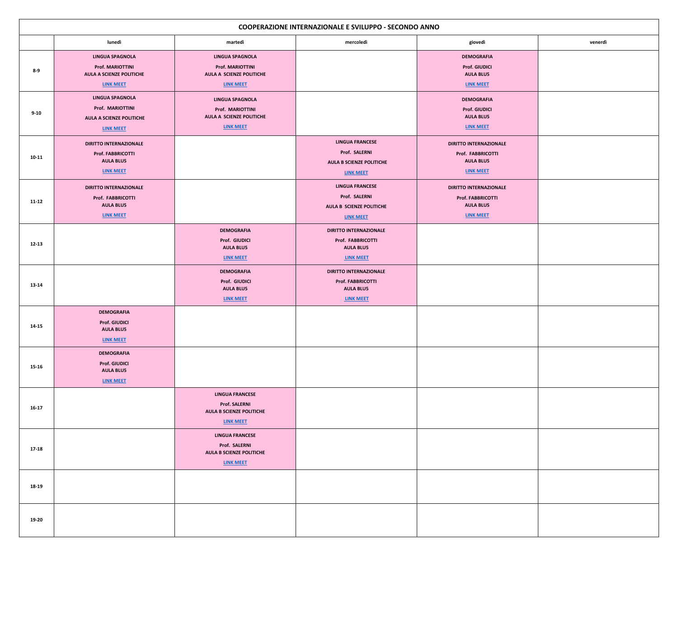| <b>COOPERAZIONE INTERNAZIONALE E SVILUPPO - SECONDO ANNO</b> |                                                                                                          |                                                                                                          |                                                                                                   |                                                                                                   |         |  |  |  |
|--------------------------------------------------------------|----------------------------------------------------------------------------------------------------------|----------------------------------------------------------------------------------------------------------|---------------------------------------------------------------------------------------------------|---------------------------------------------------------------------------------------------------|---------|--|--|--|
|                                                              | lunedì                                                                                                   | martedì                                                                                                  | mercoledì                                                                                         | giovedì                                                                                           | venerdì |  |  |  |
| $8 - 9$                                                      | <b>LINGUA SPAGNOLA</b><br><b>Prof. MARIOTTINI</b><br><b>AULA A SCIENZE POLITICHE</b><br><b>LINK MEET</b> | <b>LINGUA SPAGNOLA</b><br><b>Prof. MARIOTTINI</b><br><b>AULA A SCIENZE POLITICHE</b><br><b>LINK MEET</b> |                                                                                                   | <b>DEMOGRAFIA</b><br><b>Prof. GIUDICI</b><br><b>AULA BLU5</b><br><b>LINK MEET</b>                 |         |  |  |  |
| $9 - 10$                                                     | <b>LINGUA SPAGNOLA</b><br>Prof. MARIOTTINI<br><b>AULA A SCIENZE POLITICHE</b><br>LINK MEET               | <b>LINGUA SPAGNOLA</b><br>Prof. MARIOTTINI<br><b>AULA A SCIENZE POLITICHE</b><br><b>LINK MEET</b>        |                                                                                                   | <b>DEMOGRAFIA</b><br><b>Prof. GIUDICI</b><br><b>AULA BLU5</b><br><b>LINK MEET</b>                 |         |  |  |  |
| $10 - 11$                                                    | <b>DIRITTO INTERNAZIONALE</b><br><b>Prof. FABBRICOTTI</b><br><b>AULA BLU5</b><br>LINK MEET               |                                                                                                          | <b>LINGUA FRANCESE</b><br>Prof. SALERNI<br><b>AULA B SCIENZE POLITICHE</b><br><b>LINK MEET</b>    | <b>DIRITTO INTERNAZIONALE</b><br>Prof. FABBRICOTTI<br><b>AULA BLU5</b><br><b>LINK MEET</b>        |         |  |  |  |
| $11 - 12$                                                    | <b>DIRITTO INTERNAZIONALE</b><br>Prof. FABBRICOTTI<br><b>AULA BLU5</b><br><b>LINK MEET</b>               |                                                                                                          | <b>LINGUA FRANCESE</b><br>Prof. SALERNI<br><b>AULA B SCIENZE POLITICHE</b><br><b>LINK MEET</b>    | <b>DIRITTO INTERNAZIONALE</b><br><b>Prof. FABBRICOTTI</b><br><b>AULA BLU5</b><br><b>LINK MEET</b> |         |  |  |  |
| $12 - 13$                                                    |                                                                                                          | <b>DEMOGRAFIA</b><br>Prof. GIUDICI<br><b>AULA BLU5</b><br><b>LINK MEET</b>                               | <b>DIRITTO INTERNAZIONALE</b><br>Prof. FABBRICOTTI<br><b>AULA BLU5</b><br>LINK MEET               |                                                                                                   |         |  |  |  |
| $13 - 14$                                                    |                                                                                                          | <b>DEMOGRAFIA</b><br>Prof. GIUDICI<br><b>AULA BLU5</b><br><b>LINK MEET</b>                               | <b>DIRITTO INTERNAZIONALE</b><br><b>Prof. FABBRICOTTI</b><br><b>AULA BLU5</b><br><b>LINK MEET</b> |                                                                                                   |         |  |  |  |
| $14 - 15$                                                    | <b>DEMOGRAFIA</b><br><b>Prof. GIUDICI</b><br><b>AULA BLU5</b><br><b>LINK MEET</b>                        |                                                                                                          |                                                                                                   |                                                                                                   |         |  |  |  |
| $15 - 16$                                                    | <b>DEMOGRAFIA</b><br><b>Prof. GIUDICI</b><br><b>AULA BLU5</b><br><b>LINK MEET</b>                        |                                                                                                          |                                                                                                   |                                                                                                   |         |  |  |  |
| $16-17$                                                      |                                                                                                          | <b>LINGUA FRANCESE</b><br><b>Prof. SALERNI</b><br><b>AULA B SCIENZE POLITICHE</b><br><b>LINK MEET</b>    |                                                                                                   |                                                                                                   |         |  |  |  |
| $17 - 18$                                                    |                                                                                                          | <b>LINGUA FRANCESE</b><br>Prof. SALERNI<br><b>AULA B SCIENZE POLITICHE</b><br><b>LINK MEET</b>           |                                                                                                   |                                                                                                   |         |  |  |  |
| 18-19                                                        |                                                                                                          |                                                                                                          |                                                                                                   |                                                                                                   |         |  |  |  |
| 19-20                                                        |                                                                                                          |                                                                                                          |                                                                                                   |                                                                                                   |         |  |  |  |